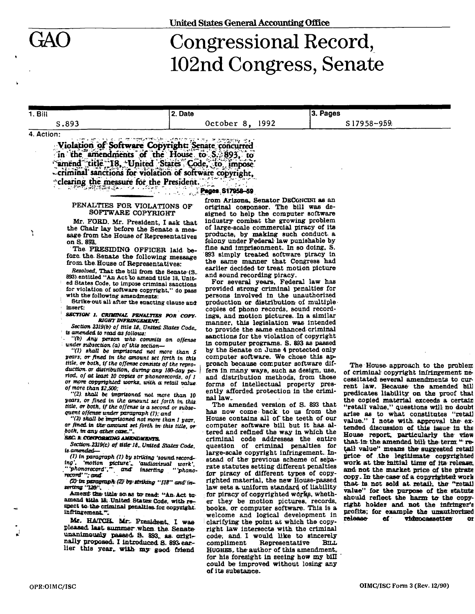Ň

# Congressional Record, 102nd Congress, Senate

#### **I.Bill**  S.893 **2. Date October 8 , 1992 3. Pages**  S 17958-959, **4. Action:**

**Violation of Software Copyright: Senate concurred.** in the amendments of the House to S. 893, to **'^imend": title ^18, "United 'SbttesTC^e^oTfmpo^e' -criminaT sanctions for violation of software copyright, -clearing the measure for the President** 

### **P^ges. 817058-59**

## **PENALTIES FOR VIOLATIONS OF SOFTWARE COPYRIGHT**

**Mr. FORD. Mr. President, I ask that the Chair lay before the Senate a message from the House of Representatives on S. 893.** 

**The PRESIDING OFFICER laid before the. Senate the following message from. the. House of Representatives:** 

*Resolved,* **That the bill from the Senate (S. 893) entitled "An Act to amend title 18. United States Code, to impose criminal sanctions tor violation of software copyright," do pass with the following amendments:** 

Strike out all after the enacting clause and **Insert:** 

*SECTION 1. CRIMINAL PENALTIES FOR COPY-RIGHT INFRINGEMENT.* 

*Section 2313(b) of title 1B^. United: States Code,, is amended, to read as follows:* 

*"(b) Any person who commits an offense under subsection, (a) of this section—* 

*"(1) shall be imprisoned not more than S years, or fined in the amount set forth in this title, or both, if the offense consists of the reproduction, or distribution, during-any ISO-day period, of at least 10 copies or phonorecords, of 1 or more copyrighted works, with* **a retail** *value of more than 12,500;* 

*"(2). shall be imprisoned not more than 10 years, or fined in the amount set forth in. this, title, or both, if the offense is a second or subsequent offense under paragraph (T); and* 

*"(3) shall be imprisoned not more than 1 year, ar fined, in theamount set forth in- this title, or both, in any ather. case.* 

#### *SEC XCONFOBtHNa AMENDMENTS.*

*Section. 2319(c) of: title-IS,. United States Code, isamended—* 

*(1) in paragraph (1) by striking 'sound record-ing', 'motion picture', 'audiovisual work', ''phonorecord',"* and inserting ''phano*ing', 'motion picture'^ 'audiovisual work', "'phonorecord',\*\* and" inserting "'phono*record''; and

*(2)1st.paragraph\(27by:ttnking "IIS" and'inssrttng'T20f.* 

Amend the title so as to read: "An Act to**amend title IB, United States? Code, with respect to-the-criminal penalties.for copyright. Infringement'\*:** 

Mr. HATCH. Mr. President, I was pleased, last summer when the Senate**unanlmoualy passed S. 893.. as. originally proposed. I introduced S. 893. earlier this year., with- my good friend** 

**from Arizona, Senator DECGHCINI as an original cosponsor. The bill was designed to help the computer software industry combat the growing problem of large-scale commercial piracy of its products, by making such conduct a felony under Federal law punishable by fine and imprisonment. In so doing, S. 893 simply treated software piracy in the Barae manner that Congress had**  earlier decided to treat motion picture **and sound recording piracy.** 

**For several years, Federal law has provided strong criminal penalties for persons involved in the unauthorized production or distribution of multiple copies of phono records, sound recordings, and motion pictures. In a similar manner, this legislation was Intended to provide the same enhanced criminal sanctions for the violation of copyright in computer programs. S. 893 as passed by the Senate on June 4 protected only**  computer software. We chose this ap-**, proach because computer software dif***i* **fere in many ways, such as design, use, and distribution methods, from those forms of intellectual property presently afforded protection in the criminal law..** 

**The amended version of S. 893 that has now come back to us from the House contains all of the teeth of our computer software bill but it has altered and refined the way in which the criminal code addresses the entire question of criminal penalties for large-scale copyright infringement. Instead of the previous scheme of separate statutes setting different penalties for piracy of different types of copyrighted material, the new House-passed law sets a uniform standard of liability**  for piracy of copyrighted works, wheth**er they be motion pictures, records, books, or computer software. This is a welcome and logical development in clarifying the point at which the copyright law Intersects with the criminal code, and. I would like to sincerely coue, and I would like to sincerely**<br>compliment **Representative** But **HUGHES, the author of this amendment, for his foresight in seeing how my bill**  for his foresight in seeing how my bill could be improved without losing any of its substance.

**The House- approach to the problem of criminal copyright infringement necessitated several amendments to current law. Because- the amended bill predicates liability- on the proof that the copied material exceeds a certain "retail value," questions will no doubt arise as to what constitutes "ratal]**  value." I note with approval the extended discussion of this issue in the **House report, particularly the view that In the. amended bill the: term "• retail value" means the suggested retail price of the legitimate copyrighted work a t the initial time of its release; and not the market price of the pirate copy. In the case of a copyrighted: work that is not sold at. retail, the "retail**  value" for the purpose of the statute should reflect the harm to the copy**right holder and. not the infringer's profits: for example the unauthorised release of vtdBocacsettes or**